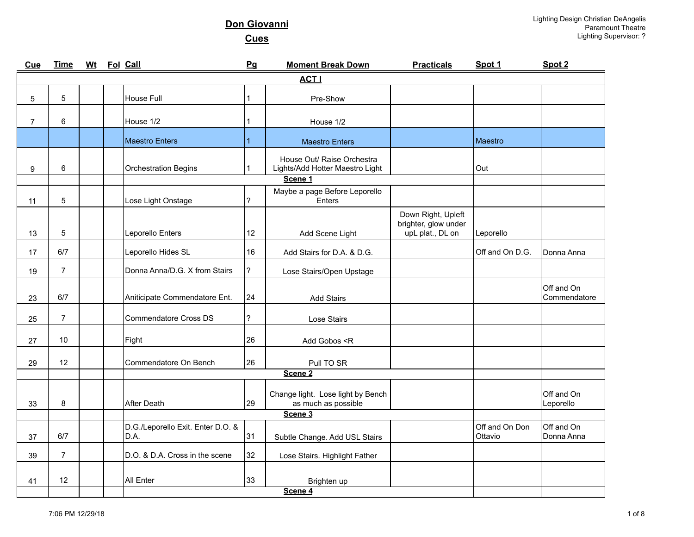| Cue            | <b>Time</b>    | <b>Wt</b> | Fol Call                                  | Pg                       | <b>Moment Break Down</b>                                      | <b>Practicals</b>                                              | Spot 1                    | Spot 2                     |
|----------------|----------------|-----------|-------------------------------------------|--------------------------|---------------------------------------------------------------|----------------------------------------------------------------|---------------------------|----------------------------|
|                |                |           |                                           |                          | <b>ACT I</b>                                                  |                                                                |                           |                            |
| 5              | 5              |           | House Full                                | 1                        | Pre-Show                                                      |                                                                |                           |                            |
| $\overline{7}$ | 6              |           | House 1/2                                 | 1                        | House 1/2                                                     |                                                                |                           |                            |
|                |                |           | Maestro Enters                            | $\mathbf{1}$             | <b>Maestro Enters</b>                                         |                                                                | Maestro                   |                            |
| 9              | 6              |           | <b>Orchestration Begins</b>               | 1                        | House Out/ Raise Orchestra<br>Lights/Add Hotter Maestro Light |                                                                | Out                       |                            |
|                |                |           |                                           |                          | Scene 1                                                       |                                                                |                           |                            |
| 11             | 5              |           | Lose Light Onstage                        | ?                        | Maybe a page Before Leporello<br>Enters                       |                                                                |                           |                            |
| 13             | 5              |           | Leporello Enters                          | 12                       | Add Scene Light                                               | Down Right, Upleft<br>brighter, glow under<br>upL plat., DL on | Leporello                 |                            |
| 17             | 6/7            |           | Leporello Hides SL                        | 16                       | Add Stairs for D.A. & D.G.                                    |                                                                | Off and On D.G.           | Donna Anna                 |
| 19             | $\overline{7}$ |           | Donna Anna/D.G. X from Stairs             | ?                        | Lose Stairs/Open Upstage                                      |                                                                |                           |                            |
| 23             | 6/7            |           | Aniticipate Commendatore Ent.             | 24                       | <b>Add Stairs</b>                                             |                                                                |                           | Off and On<br>Commendatore |
| 25             | $\overline{7}$ |           | <b>Commendatore Cross DS</b>              | $\overline{\phantom{a}}$ | Lose Stairs                                                   |                                                                |                           |                            |
| 27             | 10             |           | Fight                                     | 26                       | Add Gobos <r< td=""><td></td><td></td><td></td></r<>          |                                                                |                           |                            |
| 29             | 12             |           | Commendatore On Bench                     | 26                       | Pull TO SR                                                    |                                                                |                           |                            |
|                |                |           |                                           |                          | Scene <sub>2</sub>                                            |                                                                |                           |                            |
| 33             | 8              |           | <b>After Death</b>                        | 29                       | Change light. Lose light by Bench<br>as much as possible      |                                                                |                           | Off and On<br>Leporello    |
|                |                |           |                                           |                          | Scene 3                                                       |                                                                |                           |                            |
| 37             | 6/7            |           | D.G./Leporello Exit. Enter D.O. &<br>D.A. | 31                       | Subtle Change. Add USL Stairs                                 |                                                                | Off and On Don<br>Ottavio | Off and On<br>Donna Anna   |
| 39             | $\overline{7}$ |           | D.O. & D.A. Cross in the scene            | 32                       | Lose Stairs. Highlight Father                                 |                                                                |                           |                            |
| 41             | 12             |           | All Enter                                 | 33                       | Brighten up<br>Scene 4                                        |                                                                |                           |                            |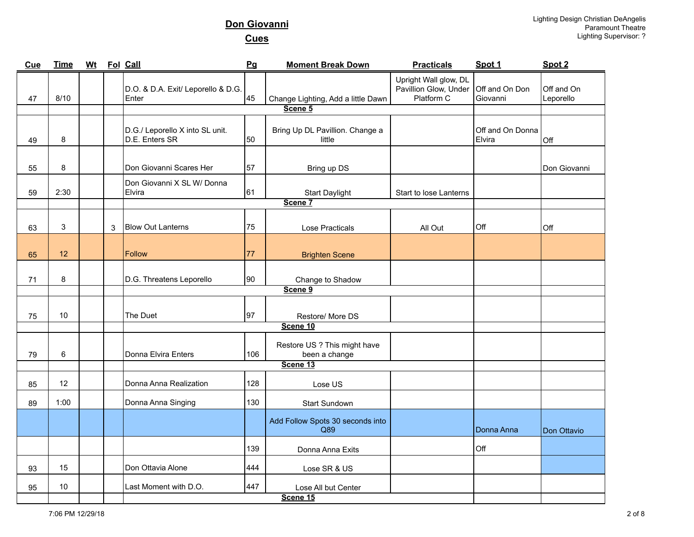| Cue | <b>Time</b> | <u>Wt</u> |   | Fol Call                                          | Pg  | <b>Moment Break Down</b>                      | <b>Practicals</b>                                            | Spot 1                     | Spot 2                  |
|-----|-------------|-----------|---|---------------------------------------------------|-----|-----------------------------------------------|--------------------------------------------------------------|----------------------------|-------------------------|
| 47  | 8/10        |           |   | D.O. & D.A. Exit/ Leporello & D.G.<br>Enter       | 45  | Change Lighting, Add a little Dawn            | Upright Wall glow, DL<br>Pavillion Glow, Under<br>Platform C | Off and On Don<br>Giovanni | Off and On<br>Leporello |
|     |             |           |   |                                                   |     | Scene 5                                       |                                                              |                            |                         |
| 49  | 8           |           |   | D.G./ Leporello X into SL unit.<br>D.E. Enters SR | 50  | Bring Up DL Pavillion. Change a<br>little     |                                                              | Off and On Donna<br>Elvira | Off                     |
| 55  | 8           |           |   | Don Giovanni Scares Her                           | 57  | Bring up DS                                   |                                                              |                            | Don Giovanni            |
| 59  | 2:30        |           |   | Don Giovanni X SL W/ Donna<br>Elvira              | 61  | <b>Start Daylight</b>                         | Start to lose Lanterns                                       |                            |                         |
|     |             |           |   |                                                   |     | Scene 7                                       |                                                              |                            |                         |
| 63  | 3           |           | 3 | <b>Blow Out Lanterns</b>                          | 75  | <b>Lose Practicals</b>                        | All Out                                                      | Off                        | Off                     |
| 65  | 12          |           |   | <b>Follow</b>                                     | 77  | <b>Brighten Scene</b>                         |                                                              |                            |                         |
| 71  | $\bf8$      |           |   | D.G. Threatens Leporello                          | 90  | Change to Shadow                              |                                                              |                            |                         |
|     |             |           |   |                                                   |     | Scene 9                                       |                                                              |                            |                         |
| 75  | 10          |           |   | The Duet                                          | 97  | Restore/ More DS                              |                                                              |                            |                         |
|     |             |           |   |                                                   |     | Scene 10                                      |                                                              |                            |                         |
| 79  | $\,6\,$     |           |   | Donna Elvira Enters                               | 106 | Restore US ? This might have<br>been a change |                                                              |                            |                         |
|     |             |           |   |                                                   |     | Scene 13                                      |                                                              |                            |                         |
| 85  | 12          |           |   | Donna Anna Realization                            | 128 | Lose US                                       |                                                              |                            |                         |
| 89  | 1:00        |           |   | Donna Anna Singing                                | 130 | Start Sundown                                 |                                                              |                            |                         |
|     |             |           |   |                                                   |     | Add Follow Spots 30 seconds into<br>Q89       |                                                              | Donna Anna                 | Don Ottavio             |
|     |             |           |   |                                                   | 139 | Donna Anna Exits                              |                                                              | Off                        |                         |
| 93  | 15          |           |   | Don Ottavia Alone                                 | 444 | Lose SR & US                                  |                                                              |                            |                         |
| 95  | 10          |           |   | Last Moment with D.O.                             | 447 | Lose All but Center<br>Scene 15               |                                                              |                            |                         |
|     |             |           |   |                                                   |     |                                               |                                                              |                            |                         |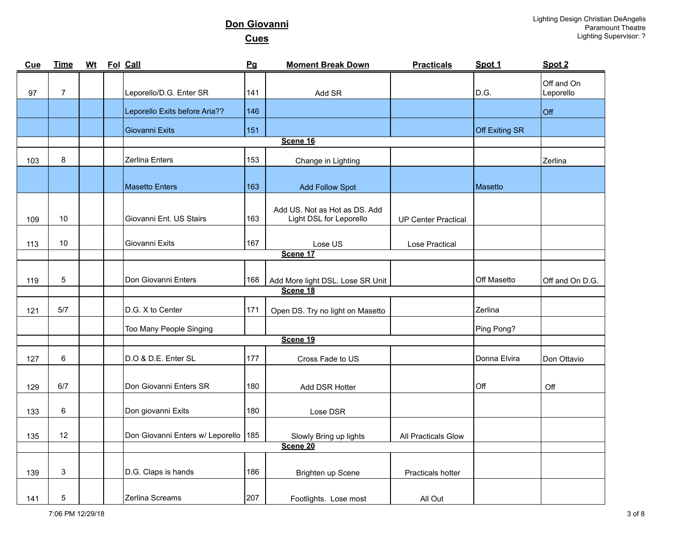| <b>Cue</b> | <b>Time</b>     | <b>Wt</b> | Fol Call                               | Pg  | <b>Moment Break Down</b>                                 | <b>Practicals</b>          | Spot 1         | Spot 2                  |
|------------|-----------------|-----------|----------------------------------------|-----|----------------------------------------------------------|----------------------------|----------------|-------------------------|
| 97         | $\overline{7}$  |           | Leporello/D.G. Enter SR                | 141 | Add SR                                                   |                            | D.G.           | Off and On<br>Leporello |
|            |                 |           | Leporello Exits before Aria??          | 146 |                                                          |                            |                | Off                     |
|            |                 |           | Giovanni Exits                         | 151 |                                                          |                            | Off Exiting SR |                         |
|            |                 |           |                                        |     | Scene 16                                                 |                            |                |                         |
| 103        | 8               |           | Zerlina Enters                         | 153 | Change in Lighting                                       |                            |                | Zerlina                 |
|            |                 |           | <b>Masetto Enters</b>                  | 163 | <b>Add Follow Spot</b>                                   |                            | Masetto        |                         |
| 109        | 10              |           | Giovanni Ent. US Stairs                | 163 | Add US. Not as Hot as DS. Add<br>Light DSL for Leporello | <b>UP Center Practical</b> |                |                         |
| 113        | 10              |           | Giovanni Exits                         | 167 | Lose US                                                  | Lose Practical             |                |                         |
|            |                 |           |                                        |     | Scene 17                                                 |                            |                |                         |
| 119        | 5               |           | Don Giovanni Enters                    | 168 | Add More light DSL. Lose SR Unit                         |                            | Off Masetto    | Off and On D.G.         |
|            |                 |           |                                        |     | Scene 18                                                 |                            |                |                         |
| 121        | 5/7             |           | D.G. X to Center                       | 171 | Open DS. Try no light on Masetto                         |                            | Zerlina        |                         |
|            |                 |           | Too Many People Singing                |     |                                                          |                            | Ping Pong?     |                         |
|            |                 |           |                                        |     | Scene 19                                                 |                            |                |                         |
| 127        | 6               |           | D.O & D.E. Enter SL                    | 177 | Cross Fade to US                                         |                            | Donna Elvira   | Don Ottavio             |
| 129        | 6/7             |           | Don Giovanni Enters SR                 | 180 | Add DSR Hotter                                           |                            | Off            | Off                     |
| 133        | 6               |           | Don giovanni Exits                     | 180 | Lose DSR                                                 |                            |                |                         |
| 135        | 12 <sup>2</sup> |           | Don Giovanni Enters w/ Leporello   185 |     | Slowly Bring up lights                                   | <b>All Practicals Glow</b> |                |                         |
|            |                 |           |                                        |     | Scene 20                                                 |                            |                |                         |
| 139        | 3               |           | D.G. Claps is hands                    | 186 | Brighten up Scene                                        | Practicals hotter          |                |                         |
| 141        | 5               |           | Zerlina Screams                        | 207 | Footlights. Lose most                                    | All Out                    |                |                         |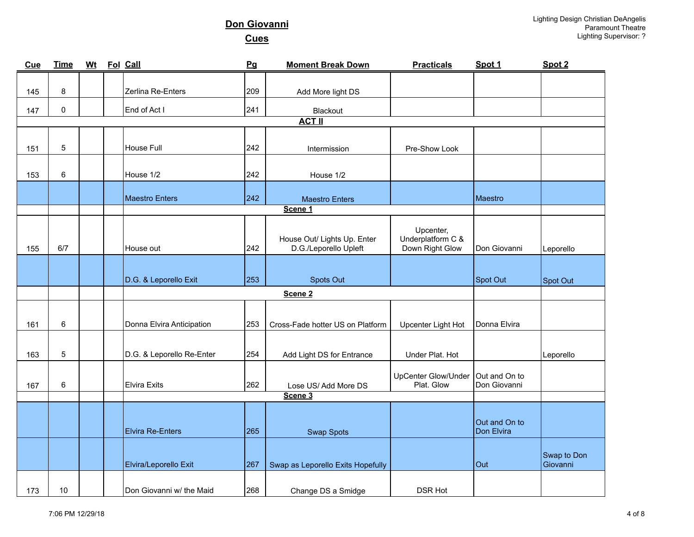| Cue | <b>Time</b> | <b>Wt</b> | Fol Call                  | <b>Pg</b> | <b>Moment Break Down</b>                             | <b>Practicals</b>                                 | Spot 1                      | Spot 2                  |
|-----|-------------|-----------|---------------------------|-----------|------------------------------------------------------|---------------------------------------------------|-----------------------------|-------------------------|
|     |             |           |                           |           |                                                      |                                                   |                             |                         |
| 145 | 8           |           | Zerlina Re-Enters         | 209       | Add More light DS                                    |                                                   |                             |                         |
| 147 | 0           |           | End of Act I              | 241       | Blackout                                             |                                                   |                             |                         |
|     |             |           |                           |           | <b>ACT II</b>                                        |                                                   |                             |                         |
|     |             |           |                           |           |                                                      |                                                   |                             |                         |
| 151 | 5           |           | House Full                | 242       | Intermission                                         | Pre-Show Look                                     |                             |                         |
|     |             |           |                           |           |                                                      |                                                   |                             |                         |
| 153 | 6           |           | House 1/2                 | 242       | House 1/2                                            |                                                   |                             |                         |
|     |             |           | <b>Maestro Enters</b>     | 242       | <b>Maestro Enters</b>                                |                                                   | Maestro                     |                         |
|     |             |           |                           |           | Scene 1                                              |                                                   |                             |                         |
|     |             |           |                           |           |                                                      |                                                   |                             |                         |
| 155 | 6/7         |           | House out                 | 242       | House Out/ Lights Up. Enter<br>D.G./Leporello Upleft | Upcenter,<br>Underplatform C &<br>Down Right Glow | Don Giovanni                |                         |
|     |             |           |                           |           |                                                      |                                                   |                             | Leporello               |
|     |             |           |                           |           |                                                      |                                                   |                             |                         |
|     |             |           | D.G. & Leporello Exit     | 253       | Spots Out                                            |                                                   | Spot Out                    | Spot Out                |
|     |             |           |                           |           | Scene <sub>2</sub>                                   |                                                   |                             |                         |
|     |             |           |                           |           |                                                      |                                                   |                             |                         |
| 161 | 6           |           | Donna Elvira Anticipation | 253       | Cross-Fade hotter US on Platform                     | Upcenter Light Hot                                | Donna Elvira                |                         |
|     |             |           |                           |           |                                                      |                                                   |                             |                         |
| 163 | 5           |           | D.G. & Leporello Re-Enter | 254       | Add Light DS for Entrance                            | Under Plat. Hot                                   |                             | Leporello               |
|     |             |           |                           |           |                                                      | UpCenter Glow/Under                               | Out and On to               |                         |
| 167 | 6           |           | <b>Elvira Exits</b>       | 262       | Lose US/Add More DS                                  | Plat. Glow                                        | Don Giovanni                |                         |
|     |             |           |                           |           | Scene 3                                              |                                                   |                             |                         |
|     |             |           |                           |           |                                                      |                                                   |                             |                         |
|     |             |           | <b>Elvira Re-Enters</b>   | 265       | <b>Swap Spots</b>                                    |                                                   | Out and On to<br>Don Elvira |                         |
|     |             |           |                           |           |                                                      |                                                   |                             |                         |
|     |             |           | Elvira/Leporello Exit     | 267       | Swap as Leporello Exits Hopefully                    |                                                   | Out                         | Swap to Don<br>Giovanni |
|     |             |           |                           |           |                                                      |                                                   |                             |                         |
| 173 | 10          |           | Don Giovanni w/ the Maid  | 268       | Change DS a Smidge                                   | <b>DSR Hot</b>                                    |                             |                         |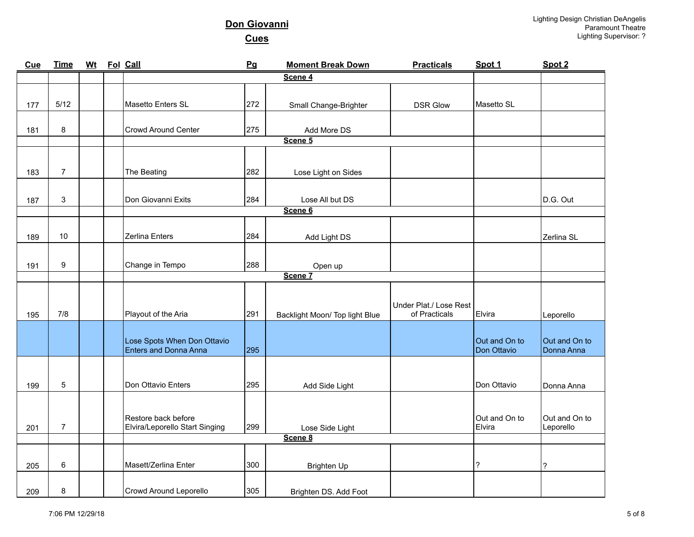| Cue | <b>Time</b>    | Wt Fol Call |                                                             | Pg  | <b>Moment Break Down</b>       | <b>Practicals</b>                       | Spot 1        | Spot 2        |
|-----|----------------|-------------|-------------------------------------------------------------|-----|--------------------------------|-----------------------------------------|---------------|---------------|
|     |                |             |                                                             |     | Scene 4                        |                                         |               |               |
|     |                |             |                                                             |     |                                |                                         |               |               |
| 177 | $5/12$         |             | Masetto Enters SL                                           | 272 | Small Change-Brighter          | <b>DSR Glow</b>                         | Masetto SL    |               |
|     |                |             |                                                             |     |                                |                                         |               |               |
| 181 | 8              |             | <b>Crowd Around Center</b>                                  | 275 | Add More DS                    |                                         |               |               |
|     |                |             |                                                             |     | Scene 5                        |                                         |               |               |
|     |                |             |                                                             |     |                                |                                         |               |               |
|     |                |             |                                                             |     |                                |                                         |               |               |
| 183 | $\overline{7}$ |             | The Beating                                                 | 282 | Lose Light on Sides            |                                         |               |               |
|     |                |             |                                                             |     |                                |                                         |               |               |
| 187 | $\mathbf{3}$   |             | Don Giovanni Exits                                          | 284 | Lose All but DS                |                                         |               | D.G. Out      |
|     |                |             |                                                             |     | Scene 6                        |                                         |               |               |
|     |                |             |                                                             |     |                                |                                         |               |               |
| 189 | 10             |             | Zerlina Enters                                              | 284 | Add Light DS                   |                                         |               | Zerlina SL    |
|     |                |             |                                                             |     |                                |                                         |               |               |
| 191 | 9              |             | Change in Tempo                                             | 288 | Open up                        |                                         |               |               |
|     |                |             |                                                             |     | Scene 7                        |                                         |               |               |
|     |                |             |                                                             |     |                                |                                         |               |               |
|     |                |             |                                                             |     |                                |                                         |               |               |
| 195 | 7/8            |             | Playout of the Aria                                         | 291 | Backlight Moon/ Top light Blue | Under Plat./ Lose Rest<br>of Practicals | Elvira        | Leporello     |
|     |                |             |                                                             |     |                                |                                         |               |               |
|     |                |             |                                                             |     |                                |                                         | Out and On to | Out and On to |
|     |                |             | Lose Spots When Don Ottavio<br><b>Enters and Donna Anna</b> | 295 |                                |                                         | Don Ottavio   | Donna Anna    |
|     |                |             |                                                             |     |                                |                                         |               |               |
|     |                |             |                                                             |     |                                |                                         |               |               |
| 199 | 5              |             | Don Ottavio Enters                                          | 295 | Add Side Light                 |                                         | Don Ottavio   | Donna Anna    |
|     |                |             |                                                             |     |                                |                                         |               |               |
|     |                |             |                                                             |     |                                |                                         |               |               |
|     |                |             | Restore back before                                         |     |                                |                                         | Out and On to | Out and On to |
| 201 | $\overline{7}$ |             | Elvira/Leporello Start Singing                              | 299 | Lose Side Light<br>Scene 8     |                                         | Elvira        | Leporello     |
|     |                |             |                                                             |     |                                |                                         |               |               |
|     |                |             |                                                             |     |                                |                                         |               |               |
| 205 | 6              |             | Masett/Zerlina Enter                                        | 300 | <b>Brighten Up</b>             |                                         | ?             | ?             |
|     |                |             |                                                             |     |                                |                                         |               |               |
| 209 | 8              |             | Crowd Around Leporello                                      | 305 | Brighten DS. Add Foot          |                                         |               |               |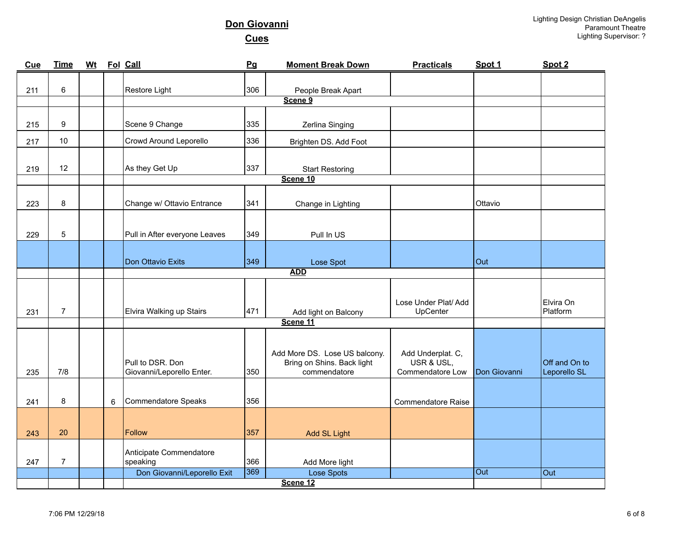| Cue | <b>Time</b>    | <b>Wt</b> |   | Fol Call                                | Pg         | <b>Moment Break Down</b>           | <b>Practicals</b>         | Spot 1       | Spot 2        |
|-----|----------------|-----------|---|-----------------------------------------|------------|------------------------------------|---------------------------|--------------|---------------|
|     |                |           |   |                                         |            |                                    |                           |              |               |
| 211 | 6              |           |   | Restore Light                           | 306        | People Break Apart<br>Scene 9      |                           |              |               |
|     |                |           |   |                                         |            |                                    |                           |              |               |
| 215 | 9              |           |   | Scene 9 Change                          | 335        | Zerlina Singing                    |                           |              |               |
| 217 | 10             |           |   | Crowd Around Leporello                  | 336        | Brighten DS. Add Foot              |                           |              |               |
| 219 | 12             |           |   | As they Get Up                          | 337        |                                    |                           |              |               |
|     |                |           |   |                                         |            | <b>Start Restoring</b><br>Scene 10 |                           |              |               |
|     |                |           |   |                                         |            |                                    |                           |              |               |
| 223 | 8              |           |   | Change w/ Ottavio Entrance              | 341        | Change in Lighting                 |                           | Ottavio      |               |
|     |                |           |   |                                         |            |                                    |                           |              |               |
| 229 | 5              |           |   | Pull in After everyone Leaves           | 349        | Pull In US                         |                           |              |               |
|     |                |           |   |                                         |            |                                    |                           |              |               |
|     |                |           |   | Don Ottavio Exits                       | 349        | Lose Spot                          |                           | Out          |               |
|     |                |           |   |                                         | <b>ADD</b> |                                    |                           |              |               |
|     |                |           |   |                                         |            |                                    |                           |              |               |
|     |                |           |   |                                         |            |                                    | Lose Under Plat/ Add      |              | Elvira On     |
| 231 | $\overline{7}$ |           |   | Elvira Walking up Stairs                | 471        | Add light on Balcony               | UpCenter                  |              | Platform      |
|     |                |           |   |                                         |            | Scene 11                           |                           |              |               |
|     |                |           |   |                                         |            |                                    |                           |              |               |
|     |                |           |   |                                         |            | Add More DS. Lose US balcony.      | Add Underplat. C,         |              |               |
|     |                |           |   | Pull to DSR. Don                        |            | Bring on Shins. Back light         | USR & USL,                |              | Off and On to |
| 235 | 7/8            |           |   | Giovanni/Leporello Enter.               | 350        | commendatore                       | Commendatore Low          | Don Giovanni | Leporello SL  |
|     |                |           |   |                                         |            |                                    |                           |              |               |
| 241 | 8              |           | 6 | Commendatore Speaks                     | 356        |                                    | <b>Commendatore Raise</b> |              |               |
|     |                |           |   |                                         |            |                                    |                           |              |               |
| 243 | 20             |           |   | Follow                                  | 357        | Add SL Light                       |                           |              |               |
|     |                |           |   |                                         |            |                                    |                           |              |               |
|     |                |           |   | Anticipate Commendatore                 |            |                                    |                           |              |               |
| 247 | $\overline{7}$ |           |   | speaking<br>Don Giovanni/Leporello Exit | 366<br>369 | Add More light<br>Lose Spots       |                           | Out          | Out           |
|     |                |           |   |                                         |            | Scene 12                           |                           |              |               |
|     |                |           |   |                                         |            |                                    |                           |              |               |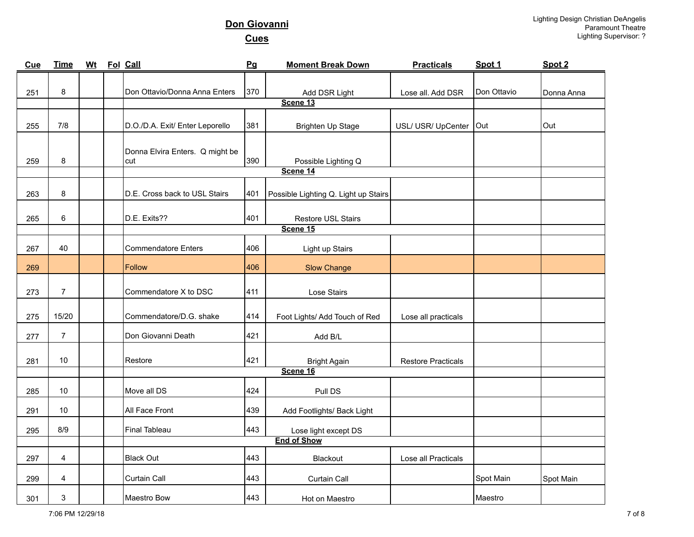| <b>Cue</b> | <b>Time</b>      | <u>Wt</u> | Fol Call                               | Pg  | <b>Moment Break Down</b>             | <b>Practicals</b>         | Spot 1      | Spot 2     |
|------------|------------------|-----------|----------------------------------------|-----|--------------------------------------|---------------------------|-------------|------------|
|            |                  |           |                                        |     |                                      |                           |             |            |
| 251        | 8                |           | Don Ottavio/Donna Anna Enters          | 370 | Add DSR Light                        | Lose all. Add DSR         | Don Ottavio | Donna Anna |
|            |                  |           |                                        |     | Scene 13                             |                           |             |            |
| 255        | 7/8              |           | D.O./D.A. Exit/ Enter Leporello        | 381 | Brighten Up Stage                    | USL/ USR/ UpCenter        | Out         | Out        |
| 259        | 8                |           | Donna Elvira Enters. Q might be<br>cut | 390 | Possible Lighting Q                  |                           |             |            |
|            |                  |           |                                        |     | Scene 14                             |                           |             |            |
| 263        | $\bf8$           |           | D.E. Cross back to USL Stairs          | 401 | Possible Lighting Q. Light up Stairs |                           |             |            |
| 265        | 6                |           | D.E. Exits??                           | 401 | Restore USL Stairs                   |                           |             |            |
|            |                  |           |                                        |     | Scene 15                             |                           |             |            |
| 267        | 40               |           | <b>Commendatore Enters</b>             | 406 | Light up Stairs                      |                           |             |            |
| 269        |                  |           | Follow                                 | 406 | <b>Slow Change</b>                   |                           |             |            |
| 273        | $\boldsymbol{7}$ |           | Commendatore X to DSC                  | 411 | Lose Stairs                          |                           |             |            |
| 275        | 15/20            |           | Commendatore/D.G. shake                | 414 | Foot Lights/ Add Touch of Red        | Lose all practicals       |             |            |
| 277        | $\overline{7}$   |           | Don Giovanni Death                     | 421 | Add B/L                              |                           |             |            |
| 281        | 10               |           | Restore                                | 421 | <b>Bright Again</b><br>Scene 16      | <b>Restore Practicals</b> |             |            |
|            |                  |           |                                        |     |                                      |                           |             |            |
| 285        | 10               |           | Move all DS                            | 424 | Pull DS                              |                           |             |            |
| 291        | 10               |           | All Face Front                         | 439 | Add Footlights/ Back Light           |                           |             |            |
| 295        | 8/9              |           | <b>Final Tableau</b>                   | 443 | Lose light except DS                 |                           |             |            |
|            |                  |           |                                        |     | <b>End of Show</b>                   |                           |             |            |
| 297        | 4                |           | <b>Black Out</b>                       | 443 | Blackout                             | Lose all Practicals       |             |            |
| 299        | 4                |           | Curtain Call                           | 443 | Curtain Call                         |                           | Spot Main   | Spot Main  |
| 301        | 3                |           | Maestro Bow                            | 443 | Hot on Maestro                       |                           | Maestro     |            |